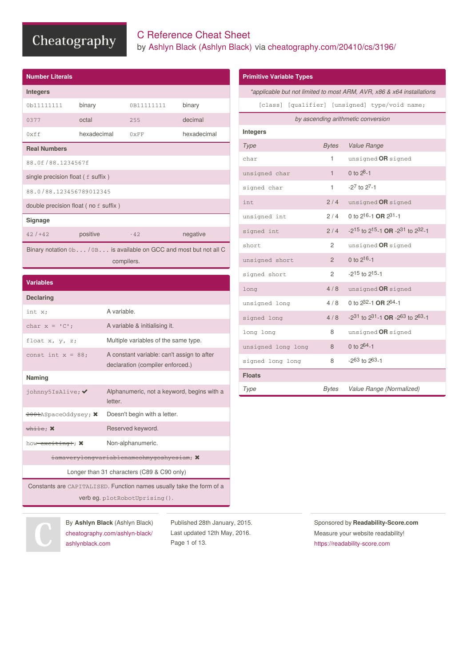## C Reference Cheat Sheet by Ashlyn Black [\(Ashlyn](http://www.cheatography.com/ashlyn-black/) Black) via [cheatography.com/20410/cs/3196/](http://www.cheatography.com/ashlyn-black/cheat-sheets/c-reference)

**Primitive Variable Types**

| <b>Number Literals</b>                      |                                                                   |               |             |
|---------------------------------------------|-------------------------------------------------------------------|---------------|-------------|
| <b>Integers</b>                             |                                                                   |               |             |
| 0b11111111                                  | binary                                                            | 0B11111111    | binary      |
| 0377                                        | octal                                                             | 255           | decimal     |
| 0xff                                        | hexadecimal                                                       | $0 \times FF$ | hexadecimal |
| <b>Real Numbers</b>                         |                                                                   |               |             |
| 88.0f/88.1234567f                           |                                                                   |               |             |
| single precision float $(f \text{ suffix})$ |                                                                   |               |             |
| 88.0/88.123456789012345                     |                                                                   |               |             |
| double precision float (no f suffix)        |                                                                   |               |             |
| Signage                                     |                                                                   |               |             |
| $42/1+42$                                   | positive                                                          | $-42$         | negative    |
|                                             | Binary notation 0b/ 0B is available on GCC and most but not all C |               |             |

compilers.

| <b>Integers</b>    |                |                                                                           |
|--------------------|----------------|---------------------------------------------------------------------------|
| Type               | Bytes          | Value Range                                                               |
| char               | 1              | unsigned OR signed                                                        |
| unsigned char      | $\mathbf{1}$   | 0 to $28-1$                                                               |
| signed char        | 1              | $-27$ to $27-1$                                                           |
| int                | 2/4            | unsigned OR signed                                                        |
| unsigned int       | 2/4            | 0 to $2^{16} - 1$ OR $2^{31} - 1$                                         |
| signed int         | 2/4            | $-2^{15}$ to 2 <sup>15</sup> -1 <b>OR</b> $-2^{31}$ to 2 <sup>32</sup> -1 |
| short              | 2              | unsigned OR signed                                                        |
| unsigned short     | $\overline{2}$ | 0 to $2^{16} - 1$                                                         |
| signed short       | 2              | $-2^{15}$ to $2^{15}-1$                                                   |
| long               | 4/8            | unsigned OR signed                                                        |
| unsigned long      | 4/8            | 0 to 282-1 OR 264-1                                                       |
| signed long        | 4/8            | -231 to 231-1 OR -263 to 263-1                                            |
| long long          | 8              | unsigned OR signed                                                        |
| unsigned long long | 8              | 0 to $264 - 1$                                                            |
| signed long long   | 8              | $-263$ to $263-1$                                                         |
| <b>Floats</b>      |                |                                                                           |
| Type               | Bytes          | Value Range (Normalized)                                                  |

*\*applicable but not limited to most ARM, AVR, x86 & x64 installations* [class] [qualifier] [unsigned] type/void name; *by ascending arithmetic conversion*

#### **Variables**

| <b>Declaring</b>                                     |                                                                                |
|------------------------------------------------------|--------------------------------------------------------------------------------|
| int x;                                               | A variable.                                                                    |
| char $x = 'C'$ :                                     | A variable & initialising it.                                                  |
| float $x, y, z;$                                     | Multiple variables of the same type.                                           |
| const int $x = 88$ :                                 | A constant variable: can't assign to after<br>declaration (compiler enforced.) |
| Naming                                               |                                                                                |
| johnny5IsAlive; ✔                                    | Alphanumeric, not a keyword, begins with a<br>letter.                          |
| $\frac{2001}{2001}$ ASpaceOddysey; $\bm{\mathsf{X}}$ | Doesn't begin with a letter.                                                   |
| $\frac{1}{\text{white}}$ $\times$                    | Reserved keyword.                                                              |
| how exciting:; X                                     | Non-alphanumeric.                                                              |
|                                                      | iamaverylongvariablenameohmygoshyesiam; X                                      |
|                                                      | Longer than 31 characters (C89 & C90 only)                                     |

| Sponsored by Readability-Score.com |
|------------------------------------|
| Measure your website readability!  |
| https://readability-score.com      |
|                                    |

By **Ashlyn Black** (Ashlyn Black) [cheatography.com/ashlyn-black/](http://www.cheatography.com/ashlyn-black/) [ashlynblack.com](http://ashlynblack.com)

Constants are CAPITALISED. Function names usually take the form of a verb eg. plotRobotUprising().

> Published 28th January, 2015. Last updated 12th May, 2016. Page 1 of 13.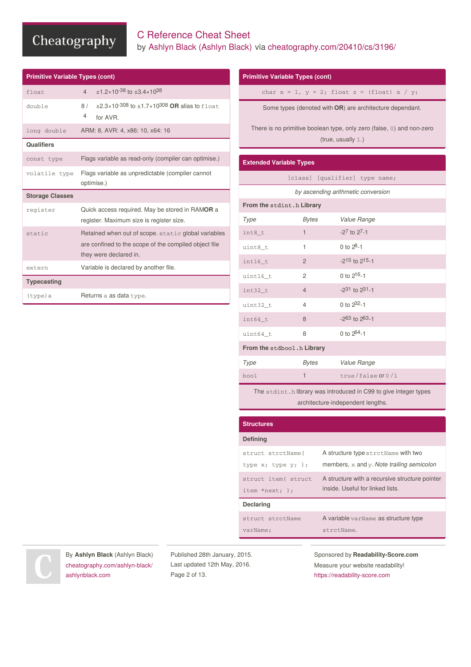#### C Reference Cheat Sheet by Ashlyn Black [\(Ashlyn](http://www.cheatography.com/ashlyn-black/) Black) via [cheatography.com/20410/cs/3196/](http://www.cheatography.com/ashlyn-black/cheat-sheets/c-reference)

| <b>Primitive Variable Types (cont)</b> |                                                                                                                                        |
|----------------------------------------|----------------------------------------------------------------------------------------------------------------------------------------|
| float                                  | $\pm$ 1.2×10 <sup>-38</sup> to $\pm$ 3.4×10 <sup>38</sup><br>$\overline{4}$                                                            |
| double                                 | $\pm 2.3 \times 10^{-308}$ to $\pm 1.7 \times 10^{308}$ OR alias to float.<br>8 /<br>4<br>for AVR.                                     |
| long double                            | ARM: 8, AVR: 4, x86: 10, x64: 16                                                                                                       |
| <b>Qualifiers</b>                      |                                                                                                                                        |
| const type                             | Flags variable as read-only (compiler can optimise.)                                                                                   |
| volatile type                          | Flags variable as unpredictable (compiler cannot<br>optimise.)                                                                         |
|                                        |                                                                                                                                        |
| <b>Storage Classes</b>                 |                                                                                                                                        |
| register                               | Quick access required. May be stored in RAMOR a<br>register. Maximum size is register size.                                            |
| static                                 | Retained when out of scope. static global variables<br>are confined to the scope of the compiled object file<br>they were declared in. |
| extern                                 | Variable is declared by another file.                                                                                                  |
| <b>Typecasting</b>                     |                                                                                                                                        |

#### **Primitive Variable Types (cont)**

char  $x = 1$ ,  $y = 2$ ; float  $z = (float) x / y$ ;

Some types (denoted with **OR**) are architecture dependant.

There is no primitive boolean type, only zero (false, 0) and non-zero (true, usually 1.)

#### **Extended Variable Types**

|  | [class] [qualifier] type name; |  |  |
|--|--------------------------------|--|--|
|--|--------------------------------|--|--|

*by ascending arithmetic conversion*

| From the stdint.h Library   |                |                   |  |
|-----------------------------|----------------|-------------------|--|
| Type                        | <b>Bytes</b>   | Value Range       |  |
| int8_t                      | 1              | $-27$ to $27-1$   |  |
| uint8_t                     | 1              | 0 to $2^{8}-1$    |  |
| $int16_t$                   | $\overline{2}$ | $-215$ to $215-1$ |  |
| uint16_t                    | 2              | 0 to $2^{16} - 1$ |  |
| int32_t                     | $\overline{4}$ | $-231$ to $231-1$ |  |
| uint32_t                    | $\overline{4}$ | 0 to $2^{32} - 1$ |  |
| $int64_t$                   | 8              | $-263$ to $263-1$ |  |
| uint64_t                    | 8              | 0 to $2^{64} - 1$ |  |
| From the stdbool. h Library |                |                   |  |
| Type                        | Bytes          | Value Range       |  |

| Type | Bytes | Value Range         |
|------|-------|---------------------|
| bool |       | $true/false$ or 0/1 |

The stdint.h library was introduced in C99 to give integer types architecture-independent lengths.

| <b>Structures</b>        |                                                |
|--------------------------|------------------------------------------------|
| <b>Defining</b>          |                                                |
| struct strctName{        | A structure type strctName with two            |
| type $x$ ; type $y$ ; }; | members, $x$ and $y$ . Note trailing semicolon |
| struct item{ struct      | A structure with a recursive structure pointer |
| item *next; $};$         | inside. Useful for linked lists.               |
| <b>Declaring</b>         |                                                |
| struct strctName         | A variable varName as structure type           |
| varName:                 | strctName.                                     |

By **Ashlyn Black** (Ashlyn Black) [cheatography.com/ashlyn-black/](http://www.cheatography.com/ashlyn-black/) [ashlynblack.com](http://ashlynblack.com)

Published 28th January, 2015. Last updated 12th May, 2016. Page 2 of 13.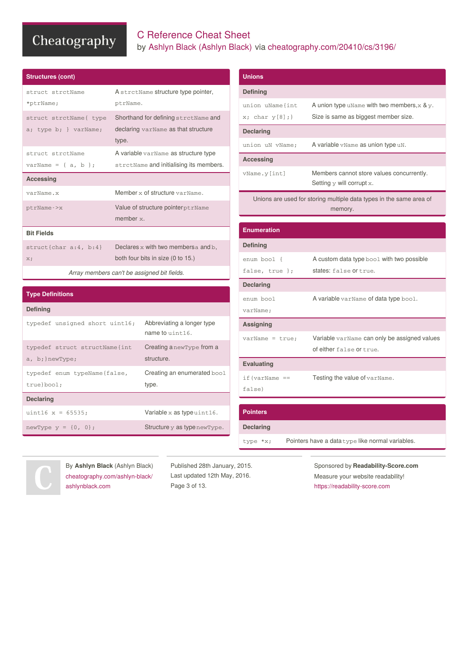## C Reference Cheat Sheet by Ashlyn Black [\(Ashlyn](http://www.cheatography.com/ashlyn-black/) Black) via [cheatography.com/20410/cs/3196/](http://www.cheatography.com/ashlyn-black/cheat-sheets/c-reference)

union uName{int

**Unions Defining**

| <b>Structures (cont)</b> |                                           |
|--------------------------|-------------------------------------------|
| struct strctName         | A strctName structure type pointer,       |
| *ptrName;                | ptrName.                                  |
| struct strctName{ type   | Shorthand for defining strctName and      |
| a; type b; } varName;    | declaring varName as that structure       |
|                          | type.                                     |
| struct strctName         | A variable varName as structure type      |
| varName = { $a, b$ };    | strctName and initialising its members.   |
| <b>Accessing</b>         |                                           |
|                          |                                           |
| varName.x                | Member x of structure varName.            |
| ptrName->x               | Value of structure pointer ptrName        |
|                          | member $x$ .                              |
| <b>Bit Fields</b>        |                                           |
| $struct{char a:4, b:4}$  | Declares $x$ with two members a and $b$ , |

| $x$ ; char $y[8]$ ; } | Size is same as biggest member size.                                           |  |  |
|-----------------------|--------------------------------------------------------------------------------|--|--|
| <b>Declaring</b>      |                                                                                |  |  |
| union uN vName:       | A variable vName as union type uN.                                             |  |  |
| <b>Accessing</b>      |                                                                                |  |  |
| vName.y[int]          | Members cannot store values concurrently.<br>Setting $y$ will corrupt $x$ .    |  |  |
|                       | Unions are used for storing multiple data types in the same area of<br>memory. |  |  |
|                       |                                                                                |  |  |
| <b>Enumeration</b>    |                                                                                |  |  |
| <b>Defining</b>       |                                                                                |  |  |
| enum bool {           | A custom data type bool with two possible                                      |  |  |
| false, true };        | states: false or true.                                                         |  |  |
| <b>Declaring</b>      |                                                                                |  |  |
| enum bool             | A variable varName of data type bool.                                          |  |  |
| varName:              |                                                                                |  |  |
| <b>Assigning</b>      |                                                                                |  |  |
| $varName = true:$     | Variable varName can only be assigned values                                   |  |  |
|                       | of either false or true.                                                       |  |  |
| <b>Evaluating</b>     |                                                                                |  |  |
| $if (varName ==$      | Testing the value of varName.                                                  |  |  |
| false)                |                                                                                |  |  |
|                       |                                                                                |  |  |

A union type uName with two members, $x \& y$ .

## **Type Definitions**

| <b>Defining</b>                                   |                                                  |
|---------------------------------------------------|--------------------------------------------------|
| typedef unsigned short uint16;                    | Abbreviating a longer type<br>name to $uint16$ . |
| typedef struct structName{int<br>a, b; } newType; | Creating a new Type from a<br>structure.         |
| typedef enum typeName{false,<br>true}bool;        | Creating an enumerated bool<br>type.             |
| <b>Declaring</b>                                  |                                                  |
| $uint16 x = 65535;$                               | Variable $x$ as type $uint16$ .                  |
| newType $y = \{0, 0\}$ ;                          | Structure y as type new Type.                    |

*Array members can't be assigned bit fields.*

| <b>Pointers</b>  |                                                  |
|------------------|--------------------------------------------------|
| <b>Declaring</b> |                                                  |
| type *x;         | Pointers have a data type like normal variables. |



By **Ashlyn Black** (Ashlyn Black) [cheatography.com/ashlyn-black/](http://www.cheatography.com/ashlyn-black/) [ashlynblack.com](http://ashlynblack.com)

Published 28th January, 2015. Last updated 12th May, 2016. Page 3 of 13.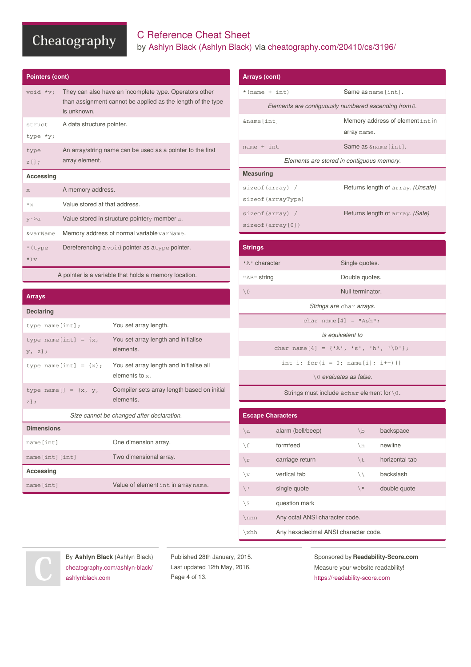## C Reference Cheat Sheet by Ashlyn Black [\(Ashlyn](http://www.cheatography.com/ashlyn-black/) Black) via [cheatography.com/20410/cs/3196/](http://www.cheatography.com/ashlyn-black/cheat-sheets/c-reference)

| <b>Pointers (cont)</b> |                                                                                                                                      |
|------------------------|--------------------------------------------------------------------------------------------------------------------------------------|
| void *v:               | They can also have an incomplete type. Operators other<br>than assignment cannot be applied as the length of the type<br>is unknown. |
| struct                 | A data structure pointer.                                                                                                            |
| type *y;               |                                                                                                                                      |
| type                   | An array/string name can be used as a pointer to the first                                                                           |
| $Z[]$ ;                | array element.                                                                                                                       |
| Accessing              |                                                                                                                                      |
| X                      | A memory address.                                                                                                                    |
| $*_{X}$                | Value stored at that address.                                                                                                        |
| $y - a$                | Value stored in structure pointery member a.                                                                                         |
| <b>&amp;varName</b>    | Memory address of normal variable varName.                                                                                           |
| * (type                | Dereferencing a void pointer as a type pointer.                                                                                      |
| $\star$ ) $V$          |                                                                                                                                      |
|                        |                                                                                                                                      |

A pointer is a variable that holds a memory location.

#### **Arrays**

| <b>Declaring</b>                        |                                                              |
|-----------------------------------------|--------------------------------------------------------------|
| type $name[int]$ ;                      | You set array length.                                        |
| type name [int] = $\{x, \}$<br>$V, Z$ ; | You set array length and initialise<br>elements.             |
| type name [int] = ${x}$ ;               | You set array length and initialise all<br>elements to $x$ . |
| type name $[$ ] = {x, y,<br>$Z$ } :     | Compiler sets array length based on initial<br>elements.     |
|                                         | Size cannot be changed after declaration.                    |
| <b>Dimensions</b>                       |                                                              |
| name[int]                               | One dimension array.                                         |
| name [int] [int]                        | Two dimensional array.                                       |
| Accessing                               |                                                              |
| name [int]                              | Value of element int in array name.                          |

| Arrays (cont)      |                                                      |
|--------------------|------------------------------------------------------|
| $*(name + int)$    | Same as name [int].                                  |
|                    | Elements are contiguously numbered ascending from 0. |
| &name [int]        | Memory address of element int in                     |
|                    | array name.                                          |
| $name + int$       | Same as & name [int].                                |
|                    | Elements are stored in contiguous memory.            |
| <b>Measuring</b>   |                                                      |
| sizeof (array) /   | Returns length of array. (Unsafe)                    |
| sizeof (arrayType) |                                                      |
| sizeof (array) /   | Returns length of array. (Safe)                      |
| sizeof(array[0])   |                                                      |
|                    |                                                      |
| <b>Strings</b>     |                                                      |
| 'A' character      | Single quotes.                                       |
| "AB" string        | Double quotes.                                       |
| $\setminus 0$      | Null terminator.                                     |
|                    | Strings are char arrays.                             |

|                          | char name [4] = {'A', 's', 'h', '\0'};                 |               |                |
|--------------------------|--------------------------------------------------------|---------------|----------------|
|                          | int i; for $(i = 0;$ name $[i]; i++)$ {}               |               |                |
|                          | \0 evaluates as false.                                 |               |                |
|                          | Strings must include $a$ char element for $\lozenge$ . |               |                |
|                          |                                                        |               |                |
| <b>Escape Characters</b> |                                                        |               |                |
| $\setminus a$            | alarm (bell/beep)                                      | $\mathbf{b}$  | backspace      |
| \f                       | formfeed                                               | $\n\langle n$ | newline        |
| $\chi$                   | carriage return                                        | \t            | horizontal tab |
| $\vee$                   | vertical tab                                           | $\setminus$   | backslash      |
| $\backslash$             | single quote                                           | $\sqrt{ }$    | double quote   |
| / ¿                      | question mark                                          |               |                |

char name $[4]$  = "Ash"; *is equivalent to*

\nnn Any octal ANSI character code.

\xhh Any hexadecimal ANSI character code.

By **Ashlyn Black** (Ashlyn Black) [cheatography.com/ashlyn-black/](http://www.cheatography.com/ashlyn-black/) [ashlynblack.com](http://ashlynblack.com)

Published 28th January, 2015. Last updated 12th May, 2016. Page 4 of 13.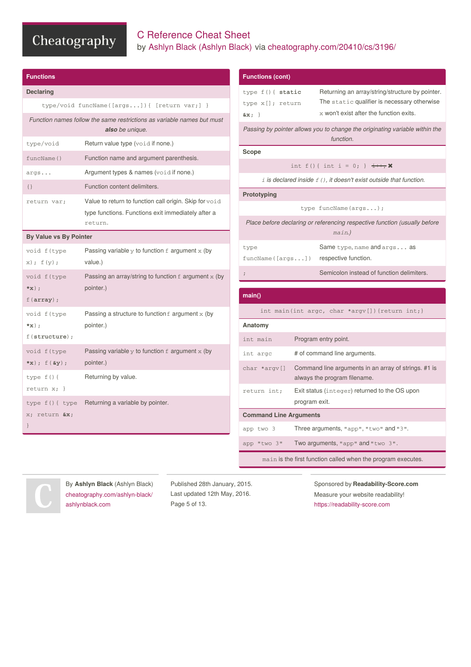## C Reference Cheat Sheet by Ashlyn Black [\(Ashlyn](http://www.cheatography.com/ashlyn-black/) Black) via [cheatography.com/20410/cs/3196/](http://www.cheatography.com/ashlyn-black/cheat-sheets/c-reference)

| <b>Functions</b>                                  |                                                                                                                         |
|---------------------------------------------------|-------------------------------------------------------------------------------------------------------------------------|
| <b>Declaring</b>                                  |                                                                                                                         |
|                                                   | type/void funcName([args]){ [return var;] }                                                                             |
|                                                   | Function names follow the same restrictions as variable names but must<br>also be unique.                               |
| type/void                                         | <b>Return value type (void if none.)</b>                                                                                |
| funcName()                                        | Function name and argument parenthesis.                                                                                 |
| args                                              | Argument types & names (void if none.)                                                                                  |
| $\{\}$                                            | Function content delimiters.                                                                                            |
| return var;                                       | Value to return to function call origin. Skip for void<br>type functions. Functions exit immediately after a<br>return. |
| By Value vs By Pointer                            |                                                                                                                         |
| void f(type<br>$x)$ ; $f(y)$ ;                    | Passing variable $y$ to function $f$ argument $x$ (by<br>value.)                                                        |
| void f(type<br>$*_{X}$ ) ;<br>$f(\text{array})$ ; | Passing an array/string to function $f$ argument $x$ (by<br>pointer.)                                                   |
| void f(type<br>$*_{X}$ );<br>$f$ (structure);     | Passing a structure to function $f$ argument $x$ (by<br>pointer.)                                                       |
| void f(type<br>$*x)$ ; $f(\&y)$ ;                 | Passing variable $y$ to function $f$ argument $x$ (by<br>pointer.)                                                      |
| type $f()$ {<br>return $x; \}$                    | Returning by value.                                                                                                     |
| type $f() \{ type$<br>x; return &x<br>}           | Returning a variable by pointer.                                                                                        |

| <b>Functions (cont)</b>                         |                                                                                                                                             |
|-------------------------------------------------|---------------------------------------------------------------------------------------------------------------------------------------------|
| type f() { static<br>type x[]; return<br>$&x$ } | Returning an array/string/structure by pointer.<br>The static qualifier is necessary otherwise<br>$x$ won't exist after the function exits. |
|                                                 | Passing by pointer allows you to change the originating variable within the<br>function.                                                    |
| Scope                                           |                                                                                                                                             |
|                                                 | int f(){ int i = 0; } $\pm$ ++, $\bm{\times}$                                                                                               |
|                                                 | $\pm$ is declared inside $f(.)$ , it doesn't exist outside that function.                                                                   |
| Prototyping                                     |                                                                                                                                             |
|                                                 | type funcName(args);                                                                                                                        |
|                                                 | Place before declaring or referencing respective function (usually before<br>main.)                                                         |
| type<br>funcName([args])                        | Same type, name and args as<br>respective function.                                                                                         |
| $\ddot{i}$                                      | Semicolon instead of function delimiters.                                                                                                   |
|                                                 |                                                                                                                                             |
| main()                                          |                                                                                                                                             |
|                                                 | int main(int argc, char *argv[]) {return int; }                                                                                             |
| Anatomy                                         |                                                                                                                                             |
| int main                                        | Program entry point.                                                                                                                        |
| int argc                                        | # of command line arguments.                                                                                                                |
| char *argy[]                                    | Command line arguments in an array of strings. #1 is<br>always the program filename.                                                        |
| return int;                                     | Exit status (integer) returned to the OS upon<br>program exit.                                                                              |
| <b>Command Line Arguments</b>                   |                                                                                                                                             |
| app two 3                                       | Three arguments, "app", "two" and "3".                                                                                                      |
| app "two 3"                                     | Two arguments, "app" and "two 3".                                                                                                           |
|                                                 | main is the first function called when the program executes.                                                                                |

By **Ashlyn Black** (Ashlyn Black) [cheatography.com/ashlyn-black/](http://www.cheatography.com/ashlyn-black/) [ashlynblack.com](http://ashlynblack.com)

Published 28th January, 2015. Last updated 12th May, 2016. Page 5 of 13.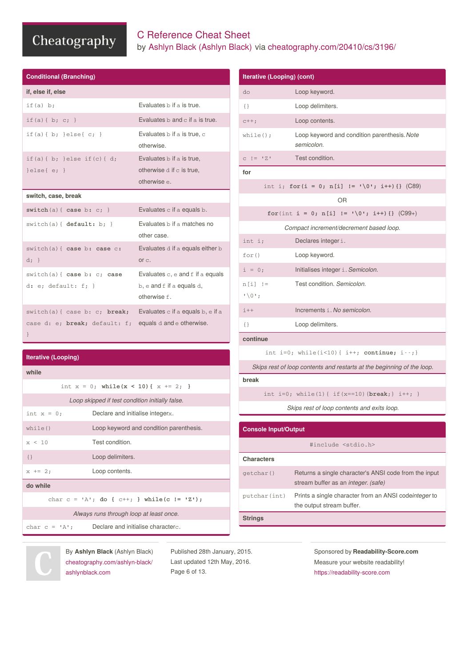## C Reference Cheat Sheet by Ashlyn Black [\(Ashlyn](http://www.cheatography.com/ashlyn-black/) Black) via [cheatography.com/20410/cs/3196/](http://www.cheatography.com/ashlyn-black/cheat-sheets/c-reference)

| <b>Conditional (Branching)</b>                                                                                 |                                                                               |
|----------------------------------------------------------------------------------------------------------------|-------------------------------------------------------------------------------|
| if, else if, else                                                                                              |                                                                               |
| if(a) b:                                                                                                       | Evaluates b if a is true.                                                     |
| if (a) { b; c; }                                                                                               | Evaluates $b$ and $c$ if a is true.                                           |
| if(a){b; }else{c; }                                                                                            | Evaluates b if a is true, c<br>otherwise.                                     |
| if(a){b; }else if(c){d;<br>$\text{else} \{ e; \}$                                                              | Evaluates b if a is true.<br>otherwise $d$ if $c$ is true.<br>otherwise e.    |
| switch, case, break                                                                                            |                                                                               |
| $switch(a) { case b: c; }$                                                                                     | Evaluates $c$ if a equals $b$ .                                               |
| switch(a) { default: b: }                                                                                      | Evaluates b if a matches no<br>other case.                                    |
| switch(a) { case b: case c:<br>$d; \}$                                                                         | Evaluates d if a equals either b<br>or c.                                     |
| switch(a) { case b: c; case<br>d: e: default: f:                                                               | Evaluates c, e and f if a equals<br>b, e and f if a equals d,<br>otherwise f. |
| $switch(a)$ { case b: c; <b>break;</b> Evaluates c if a equals b, e if a<br>case d: e; break; default: f;<br>} | equals d and e otherwise.                                                     |

#### **Iterative (Looping)**

| while         |                                                    |
|---------------|----------------------------------------------------|
|               | int $x = 0$ ; while $(x < 10)$ { $x == 2$ ; }      |
|               | Loop skipped if test condition initially false.    |
| int $x = 0$ ; | Declare and initialise integerx.                   |
| while()       | Loop keyword and condition parenthesis.            |
| x < 10        | Test condition.                                    |
| $\{\}$        | Loop delimiters.                                   |
| $x + = 2$     | Loop contents.                                     |
| do while      |                                                    |
|               | char $c = 'A'; do { c++; } while (c != 'Z');$      |
|               | Always runs through loop at least once.            |
|               | char $c = 'A';$ Declare and initialise characterc. |
|               |                                                    |

| <b>Iterative (Looping) (cont)</b> |                                                                                              |
|-----------------------------------|----------------------------------------------------------------------------------------------|
| do                                | Loop keyword.                                                                                |
| {}                                | Loop delimiters.                                                                             |
| $C++;$                            | Loop contents.                                                                               |
| while $()$ ;                      | Loop keyword and condition parenthesis. Note<br>semicolon.                                   |
| $C$ $!=$ $Z'$                     | Test condition.                                                                              |
| for                               |                                                                                              |
|                                   | int i; for $(i = 0; n[i] != '0'; i++)$ {} (C89)                                              |
|                                   | OR.                                                                                          |
|                                   | for(int i = 0; n[i] != $\sqrt{0}$ ; i++){} (C99+)                                            |
|                                   | Compact increment/decrement based loop.                                                      |
| int i;                            | Declares integer i.                                                                          |
| for()                             | Loop keyword.                                                                                |
| $i = 0;$                          | Initialises integer i. Semicolon.                                                            |
| $n[i]$ !=<br>$\cdot$ \0 $\cdot$ ; | Test condition, Semicolon.                                                                   |
| $i$ ++                            | Increments i. No semicolon.                                                                  |
| $\{\}$                            | Loop delimiters.                                                                             |
| continue                          |                                                                                              |
|                                   | int i=0; while $(i<10)$ { i++; continue; i--; }                                              |
|                                   | Skips rest of loop contents and restarts at the beginning of the loop.                       |
| break                             |                                                                                              |
|                                   | int i=0; while(1){ if (x==10) { $break$ ; } i++; }                                           |
|                                   | Skips rest of loop contents and exits loop.                                                  |
| <b>Console Input/Output</b>       |                                                                                              |
|                                   |                                                                                              |
|                                   | #include <stdio.h></stdio.h>                                                                 |
| <b>Characters</b>                 |                                                                                              |
| getchar()                         | Returns a single character's ANSI code from the input<br>stream buffer as an integer. (safe) |
| putchar(int)                      | Prints a single character from an ANSI codeinteger to<br>the output stream buffer.           |

#### **Strings**

By **Ashlyn Black** (Ashlyn Black) [cheatography.com/ashlyn-black/](http://www.cheatography.com/ashlyn-black/) [ashlynblack.com](http://ashlynblack.com)

Published 28th January, 2015. Last updated 12th May, 2016. Page 6 of 13.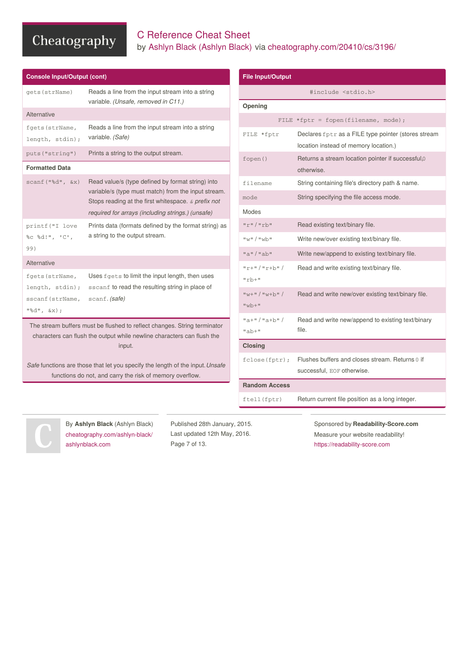## C Reference Cheat Sheet by Ashlyn Black [\(Ashlyn](http://www.cheatography.com/ashlyn-black/) Black) via [cheatography.com/20410/cs/3196/](http://www.cheatography.com/ashlyn-black/cheat-sheets/c-reference)

| <b>Console Input/Output (cont)</b>  |                                                                                                                                           | <b>File Input/Output</b>  |                                                                                              |
|-------------------------------------|-------------------------------------------------------------------------------------------------------------------------------------------|---------------------------|----------------------------------------------------------------------------------------------|
| gets (strName)                      | Reads a line from the input stream into a string                                                                                          |                           | #include <stdio.h></stdio.h>                                                                 |
|                                     | variable. (Unsafe, removed in C11.)                                                                                                       | Opening                   |                                                                                              |
| Alternative                         |                                                                                                                                           |                           | FILE *fptr = fopen(filename, mode);                                                          |
| fgets (strName,<br>length, stdin);  | Reads a line from the input stream into a string<br>variable. (Safe)                                                                      | FILE *fptr                | Declares fptr as a FILE type pointer (stores stream<br>location instead of memory location.) |
| puts ("string")                     | Prints a string to the output stream.                                                                                                     | fopen()                   | Returns a stream location pointer if successful,0                                            |
| <b>Formatted Data</b>               |                                                                                                                                           |                           | otherwise.                                                                                   |
| $scant("$ % $d",$ $&x)$             | Read value/s (type defined by format string) into                                                                                         | filename                  | String containing file's directory path & name.                                              |
|                                     | variable/s (type must match) from the input stream.<br>Stops reading at the first white space. $\alpha$ prefix not                        | mode                      | String specifying the file access mode.                                                      |
|                                     | required for arrays (including strings.) (unsafe)                                                                                         | Modes                     |                                                                                              |
| printf ("I love                     | Prints data (formats defined by the format string) as                                                                                     | $"r"$ /"rb"               | Read existing text/binary file.                                                              |
| %c %d!", 'C',                       | a string to the output stream.                                                                                                            | $"w"$ / $"w$ <sub>n</sub> | Write new/over existing text/binary file.                                                    |
| 99)                                 |                                                                                                                                           | $"a"$ / $"ab"$            | Write new/append to existing text/binary file.                                               |
| Alternative                         |                                                                                                                                           | $"r+"$ /"r+b"/            | Read and write existing text/binary file.                                                    |
| fgets (strName,                     | Uses fgets to limit the input length, then uses                                                                                           | $"rb+"$                   |                                                                                              |
| length, stdin);<br>sscanf (strName, | sscanf to read the resulting string in place of<br>scanf. (safe)                                                                          | $"w+"$ /"w+b"/            | Read and write new/over existing text/binary file.                                           |
| $"$ %d", &x);                       |                                                                                                                                           | $"wb+"$                   |                                                                                              |
|                                     | The stream buffers must be flushed to reflect changes. String terminator                                                                  | $"a+"$ / $"a+b"$          | Read and write new/append to existing text/binary                                            |
|                                     | characters can flush the output while newline characters can flush the                                                                    | $"ab+"$                   | file.                                                                                        |
|                                     | input.                                                                                                                                    | <b>Closing</b>            |                                                                                              |
|                                     | Safe functions are those that let you specify the length of the input. Unsafe<br>functions do not, and carry the risk of memory overflow. | fclose(fptr);             | Flushes buffers and closes stream. Returns 0 if<br>successful, EOF otherwise.                |
|                                     |                                                                                                                                           | <b>Random Access</b>      |                                                                                              |
|                                     |                                                                                                                                           | ftell (fptr)              | Return current file position as a long integer.                                              |



By **Ashlyn Black** (Ashlyn Black) [cheatography.com/ashlyn-black/](http://www.cheatography.com/ashlyn-black/) [ashlynblack.com](http://ashlynblack.com)

Published 28th January, 2015. Last updated 12th May, 2016. Page 7 of 13.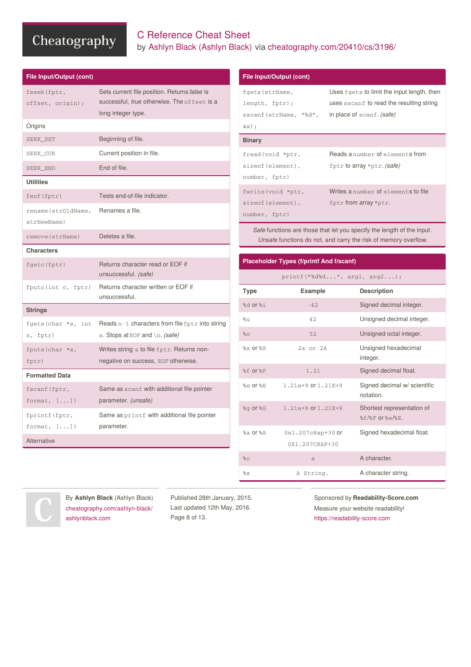## C Reference Cheat Sheet by Ashlyn Black [\(Ashlyn](http://www.cheatography.com/ashlyn-black/) Black) via [cheatography.com/20410/cs/3196/](http://www.cheatography.com/ashlyn-black/cheat-sheets/c-reference)

| fseek (fptr,<br>offset, origin); | Sets current file position. Returns false is<br>successful, true otherwise. The offset is a<br>long integer type. |
|----------------------------------|-------------------------------------------------------------------------------------------------------------------|
| Origins                          |                                                                                                                   |
| SEEK_SET                         | Beginning of file.                                                                                                |
| SEEK_CUR                         | Current position in file.                                                                                         |
| SEEK_END                         | End of file.                                                                                                      |
| <b>Utilities</b>                 |                                                                                                                   |
| feof (fptr)                      | Tests end-of-file indicator.                                                                                      |
| rename (strOldName,              | Renames a file.                                                                                                   |
| strNewName)                      |                                                                                                                   |
| remove (strName)                 | Deletes a file.                                                                                                   |
| <b>Characters</b>                |                                                                                                                   |
| fgetc(fptr)                      | Returns character read or EOF if                                                                                  |
|                                  | unsuccessful. (safe)                                                                                              |
| fputc(int c, fptr)               | Returns character written or EOF if<br>unsuccessful.                                                              |
| <b>Strings</b>                   |                                                                                                                   |
| fgets (char *s, int<br>n, fptr)  | Reads $n - 1$ characters from file $f$ ptr into string<br>s. Stops at EOF and $\ln$ . (safe)                      |
| fputs (char *s,<br>fptr)         | Writes string s to file fptr. Returns non-<br>negative on success, EOF otherwise.                                 |
| <b>Formatted Data</b>            |                                                                                                                   |
| fscanf (fptr,<br>format, $[]$    | Same as scanf with additional file pointer<br>parameter. (unsafe)                                                 |
| fprintf (fptr,<br>format, $[]$   | Same as printf with additional file pointer<br>parameter.                                                         |

| File Input/Output (cont)                         |                                                                               |
|--------------------------------------------------|-------------------------------------------------------------------------------|
| fgets (strName,                                  | Uses fgets to limit the input length, then                                    |
| length, fptr);                                   | uses sscanf to read the resulting string                                      |
| sscanf (strName, "%d", in place of scanf. (safe) |                                                                               |
| $\&\times$ );                                    |                                                                               |
| <b>Binary</b>                                    |                                                                               |
| fread(void *ptr,                                 | Reads anumber of elements from                                                |
| sizeof (element),                                | fptr to array *ptr. (safe)                                                    |
| number, fptr)                                    |                                                                               |
| fwrite (void *ptr,                               | Writes a number of elements to file                                           |
| sizeof (element),                                | $fptr$ from array *ptr.                                                       |
| number, fptr)                                    |                                                                               |
|                                                  | <i>Safe</i> functions are those that let you specify the length of the input. |

*Safe* functions are those that let you specify the length of the input. *Unsafe* functions do not, and carry the risk of memory overflow.

| <b>Placeholder Types (f/printf And f/scanf)</b> |                                       |                                                            |
|-------------------------------------------------|---------------------------------------|------------------------------------------------------------|
|                                                 | $printf("8d$ %d", $arg1, arg2$ ;      |                                                            |
| <b>Type</b>                                     | <b>Example</b>                        | <b>Description</b>                                         |
| $%d$ or $%d$                                    | $-42.$                                | Signed decimal integer.                                    |
| %11                                             | 42.                                   | Unsigned decimal integer.                                  |
| 80                                              | 52                                    | Unsigned octal integer.                                    |
| $%x$ or $%x$                                    | $2a$ or $2A$                          | Unsigned hexadecimal<br>integer.                           |
| %f or%F                                         | 1.21                                  | Signed decimal float.                                      |
| %e or %E                                        | 1.21e+9 or 1.21E+9                    | Signed decimal w/ scientific<br>notation.                  |
| %q or %G                                        | 1.21e+9 or 1.21E+9                    | Shortest representation of<br>$$f$ / $$F$ or $$e$ / $$E$ . |
| $ka$ or $RA$                                    | 0x1.207c8ap+30 or<br>$0x1.207C8AP+30$ | Signed hexadecimal float.                                  |
| 8 <sub>C</sub>                                  | a                                     | A character.                                               |
| $\mathcal{S}_{\mathrm{S}}$                      | A String.                             | A character string.                                        |



By **Ashlyn Black** (Ashlyn Black) [cheatography.com/ashlyn-black/](http://www.cheatography.com/ashlyn-black/) [ashlynblack.com](http://ashlynblack.com)

Published 28th January, 2015. Last updated 12th May, 2016. Page 8 of 13.

Sponsored by **Readability-Score.com** Measure your website readability!

<https://readability-score.com>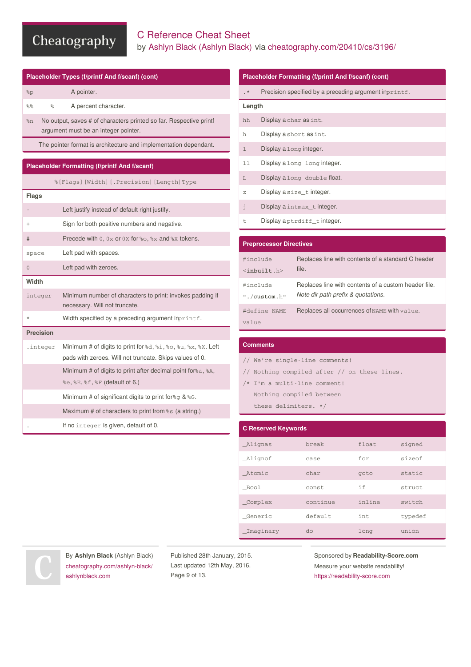## C Reference Cheat Sheet by Ashlyn Black [\(Ashlyn](http://www.cheatography.com/ashlyn-black/) Black) via [cheatography.com/20410/cs/3196/](http://www.cheatography.com/ashlyn-black/cheat-sheets/c-reference)

|                         | Placeholder Types (f/printf And f/scanf) (cont)                                            |                       |             | <b>Placeholder Fo</b>                            |
|-------------------------|--------------------------------------------------------------------------------------------|-----------------------|-------------|--------------------------------------------------|
| 8p                      | A pointer.                                                                                 |                       | $\cdot$ *   | Precision                                        |
| o <sub>o</sub><br>$8\%$ | A percent character.                                                                       |                       | Length      |                                                  |
| 8n                      | No output, saves # of characters printed so far. Respective printf                         |                       | hh          | Display a                                        |
|                         | argument must be an integer pointer.                                                       |                       | h           | Display a                                        |
|                         | The pointer format is architecture and implementation dependant.                           |                       | $\mathbf 1$ | Display a                                        |
|                         | <b>Placeholder Formatting (f/printf And f/scanf)</b>                                       |                       | 11          | Display a                                        |
|                         | %[Flags] [Width] [.Precision] [Length] Type                                                |                       | L           | Display a                                        |
| <b>Flags</b>            |                                                                                            |                       | Ζ           | Display a                                        |
|                         | Left justify instead of default right justify.                                             |                       | j.          | Display a                                        |
| $^{+}$                  | Sign for both positive numbers and negative.                                               |                       | t.          | Display a                                        |
| #                       | Precede with 0, 0x or 0x for %0, %x and %x tokens.                                         |                       |             | <b>Preprocessor I</b>                            |
| space                   | Left pad with spaces.                                                                      |                       |             |                                                  |
| 0                       | Left pad with zeroes.                                                                      |                       |             | #include<br>$\langle \texttt{inbuilt.h} \rangle$ |
| Width                   |                                                                                            |                       |             | #include                                         |
| integer                 | Minimum number of characters to print: invokes padding if<br>necessary. Will not truncate. |                       |             | $"$ ./custom.h $"$                               |
| $\star$                 | Width specified by a preceding argument inprintf.                                          | #define NAME<br>value |             |                                                  |
| <b>Precision</b>        |                                                                                            |                       |             |                                                  |
| .integer                | Minimum # of digits to print for $d, \xi$ , $\xi$ o, $\xi$ u, $\xi$ x, $\xi$ x. Left       |                       |             | <b>Comments</b>                                  |
|                         | pads with zeroes. Will not truncate. Skips values of 0.                                    |                       |             | // We're sin                                     |
|                         | Minimum # of digits to print after decimal point for & a, & A,                             |                       |             | // Nothing o                                     |
|                         | %e, %E, %f, %F (default of 6.)                                                             |                       |             | /* I'm a mul                                     |
|                         | Minimum # of significant digits to print for $\mathcal{E}_G$ & $\mathcal{E}_G$ .           |                       |             | Nothing c                                        |
|                         | Maximum # of characters to print from $\frac{1}{5}$ (a string.)                            |                       |             | these del                                        |
|                         | If no integer is given, default of 0.                                                      |                       |             | C Pacaruad Ka                                    |

|              | <b>Placeholder Formatting (f/printf And f/scanf) (cont)</b> |  |  |
|--------------|-------------------------------------------------------------|--|--|
| $\cdot$ *    | Precision specified by a preceding argument inprintf.       |  |  |
| Length       |                                                             |  |  |
| hh           | Display a char as int.                                      |  |  |
| ħ            | Display a short as int.                                     |  |  |
| $\mathbb{1}$ | Display a long integer.                                     |  |  |
| 11           | Display a long long integer.                                |  |  |
| L            | Display a long double float.                                |  |  |
| 7.           | Display a size_t integer.                                   |  |  |
| j            | Display a intmax_t integer.                                 |  |  |
| t.           | Display aptrdiff tinteger.                                  |  |  |

| <b>Preprocessor Directives</b> |                                                      |  |
|--------------------------------|------------------------------------------------------|--|
| #include                       | Replaces line with contents of a standard C header   |  |
| $\langle$ inbuilt.h>           | file.                                                |  |
| #include                       | Replaces line with contents of a custom header file. |  |
| $"$ ./custom.h"                | Note dir path prefix & quotations.                   |  |
| #define NAME<br>value          | Replaces all occurrences of NAME with value.         |  |

| // We're single-line comments!               |
|----------------------------------------------|
| // Nothing compiled after // on these lines. |
| /* I'm a multi-line comment!                 |
| Nothing compiled between                     |
| these delimiters. */                         |
|                                              |

| <b>C Reserved Keywords</b> |          |        |         |
|----------------------------|----------|--------|---------|
| Alignas                    | break    | float  | signed  |
| _Alignof                   | case     | for    | sizeof  |
| Atomic                     | char     | goto   | static  |
| Bool                       | const.   | i f    | struct  |
| Complex                    | continue | inline | switch  |
| Generic                    | default  | int.   | typedef |
| _Imaginary                 | do       | long   | union   |



By **Ashlyn Black** (Ashlyn Black) [cheatography.com/ashlyn-black/](http://www.cheatography.com/ashlyn-black/) [ashlynblack.com](http://ashlynblack.com)

Published 28th January, 2015. Last updated 12th May, 2016. Page 9 of 13.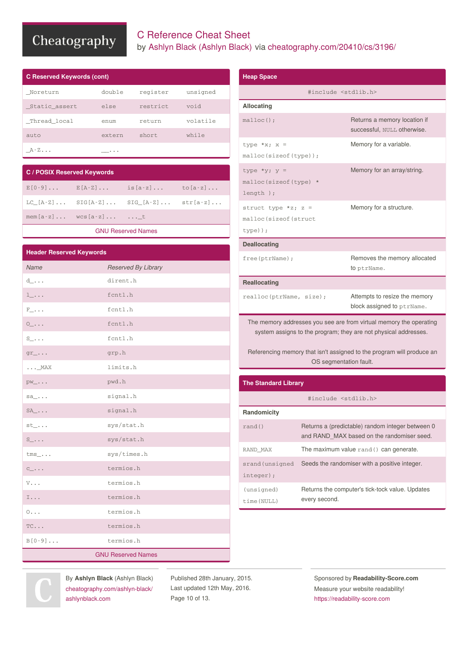## C Reference Cheat Sheet by Ashlyn Black [\(Ashlyn](http://www.cheatography.com/ashlyn-black/) Black) via [cheatography.com/20410/cs/3196/](http://www.cheatography.com/ashlyn-black/cheat-sheets/c-reference)

| <b>C Reserved Keywords (cont)</b> |        |          |          |  |
|-----------------------------------|--------|----------|----------|--|
| Noreturn                          | double | register | unsigned |  |
| _Static_assert                    | else   | restrict | biov     |  |
| Thread local                      | enum   | return   | volatile |  |
| auto                              | extern | short    | while    |  |
| A-Z                               | .      |          |          |  |

| <b>C/POSIX Reserved Keywords</b> |                         |                                                                     |  |
|----------------------------------|-------------------------|---------------------------------------------------------------------|--|
|                                  |                         | $E[0-9] \ldots$ $E[A-Z] \ldots$ is $[a-z] \ldots$ to $[a-z] \ldots$ |  |
|                                  |                         | LC $[A-Z]$ SIG $[A-Z]$ SIG $[A-Z]$ str $[a-z]$                      |  |
|                                  | $mem[a-z]$ $wcs[a-z]$ t |                                                                     |  |
|                                  |                         |                                                                     |  |

#### GNU [Reserved](http://www.gnu.org/software/libc/manual/html_node/Reserved-Names.html) Names

| <b>Header Reserved Keywords</b>      |                           |  |
|--------------------------------------|---------------------------|--|
| Name                                 | Reserved By Library       |  |
| $d_-\ldots$                          | dirent.h                  |  |
| $1_{-}$                              | fcntl.h                   |  |
| $\texttt{F}\_\!\!\ldots$             | fcntl.h                   |  |
| $\circ \_ \ldots$                    | fcntl.h                   |  |
| $S_-\ldots$                          | fcntl.h                   |  |
| $gr_{-} \ldots$                      | grp.h                     |  |
| $\ldots$ _MAX                        | limits.h                  |  |
| $PW_+\ldots$                         | pwd.h                     |  |
| $sa_-\dots$                          | signal.h                  |  |
| $SA$ <sub></sub>                     | signal.h                  |  |
| $st_-.$                              | sys/stat.h                |  |
| $S_-\ldots$                          | sys/stat.h                |  |
| $\text{tms}\_\dots$                  | sys/times.h               |  |
| $C_{\underline{\hspace{1mm}}}\ldots$ | termios.h                 |  |
| $V\ldots$                            | termios.h                 |  |
| $\mathbbm{I}$                        | termios.h                 |  |
| $0 \ldots$                           | termios.h                 |  |
| $TC \ldots$                          | termios.h                 |  |
| $B[0-9] \ldots$                      | termios.h                 |  |
|                                      | <b>GNU Reserved Names</b> |  |

| <b>Heap Space</b>                                                                                                                                                                                                                        |  |                                                                                                |
|------------------------------------------------------------------------------------------------------------------------------------------------------------------------------------------------------------------------------------------|--|------------------------------------------------------------------------------------------------|
|                                                                                                                                                                                                                                          |  | #include <stdlib.h></stdlib.h>                                                                 |
| Allocating                                                                                                                                                                                                                               |  |                                                                                                |
| $malloc()$ ;                                                                                                                                                                                                                             |  | Returns a memory location if<br>successful, NULL otherwise.                                    |
| type *x; $x =$<br>malloc(sizeof(type));                                                                                                                                                                                                  |  | Memory for a variable.                                                                         |
| type *y; $y =$<br>malloc(sizeof(type) *<br>length $);$                                                                                                                                                                                   |  | Memory for an array/string.                                                                    |
| struct type *z; $z =$<br>malloc(sizeof(struct<br>$type)$ ) ;                                                                                                                                                                             |  | Memory for a structure.                                                                        |
| <b>Deallocating</b>                                                                                                                                                                                                                      |  |                                                                                                |
| free(ptrName);                                                                                                                                                                                                                           |  | Removes the memory allocated<br>to ptrName.                                                    |
| <b>Reallocating</b>                                                                                                                                                                                                                      |  |                                                                                                |
| realloc(ptrName, size);                                                                                                                                                                                                                  |  | Attempts to resize the memory<br>block assigned to ptrName.                                    |
| The memory addresses you see are from virtual memory the operating<br>system assigns to the program; they are not physical addresses.<br>Referencing memory that isn't assigned to the program will produce an<br>OS segmentation fault. |  |                                                                                                |
| <b>The Standard Library</b>                                                                                                                                                                                                              |  |                                                                                                |
|                                                                                                                                                                                                                                          |  | #include <stdlib.h></stdlib.h>                                                                 |
| Randomicity                                                                                                                                                                                                                              |  |                                                                                                |
| rand()                                                                                                                                                                                                                                   |  | Returns a (predictable) random integer between 0<br>and RAND MAX based on the randomiser seed. |
| RAND MAX                                                                                                                                                                                                                                 |  | The maximum value rand () can generate.                                                        |

srand (unsigned Seeds the randomiser with a positive integer. integer); (unsigned) time(NULL) Returns the computer's tick-tock value. Updates every second.



By **Ashlyn Black** (Ashlyn Black) [cheatography.com/ashlyn-black/](http://www.cheatography.com/ashlyn-black/) [ashlynblack.com](http://ashlynblack.com)

Published 28th January, 2015. Last updated 12th May, 2016. Page 10 of 13.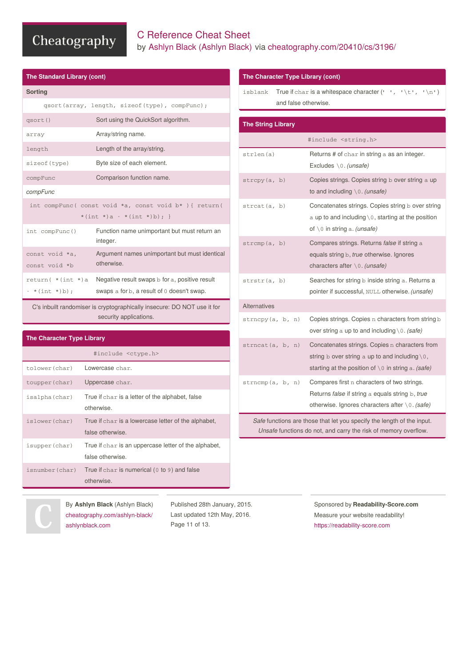**The Standard Library (cont)**

## C Reference Cheat Sheet by Ashlyn Black [\(Ashlyn](http://www.cheatography.com/ashlyn-black/) Black) via [cheatography.com/20410/cs/3196/](http://www.cheatography.com/ashlyn-black/cheat-sheets/c-reference)

| <b>Sorting</b>                     |                                                                                              |
|------------------------------------|----------------------------------------------------------------------------------------------|
|                                    | qsort(array, length, sizeof(type), compFunc);                                                |
| qsort()                            | Sort using the QuickSort algorithm.                                                          |
| array                              | Array/string name.                                                                           |
| length                             | Length of the array/string.                                                                  |
| sizeof (type)                      | Byte size of each element.                                                                   |
| compFunc                           | Comparison function name.                                                                    |
| compFunc                           |                                                                                              |
|                                    | int compFunc( const void *a, const void b* ) { return(                                       |
|                                    | *(int *)a - *(int *)b); }                                                                    |
| int compFunc()                     | Function name unimportant but must return an<br>integer.                                     |
| const void *a,<br>const void *b    | Argument names unimportant but must identical<br>otherwise.                                  |
| return( *(int *)a<br>- *(int *)b); | Negative result swaps b for a, positive result<br>swaps a for b, a result of 0 doesn't swap. |
|                                    | $C2$ inhuilt randominario any proposable incontract $DQ$ $NQT$ use it for                    |

C's inbuilt randomiser is cryptographically insecure: DO NOT use it for security applications.

#### **The Character Type Library**

|                 | #include <ctype.h></ctype.h>                                             |
|-----------------|--------------------------------------------------------------------------|
| tolower(char)   | Lowercase char.                                                          |
| toupper (char)  | Uppercase char.                                                          |
| isalpha(char)   | True if char is a letter of the alphabet, false<br>otherwise.            |
| islower(char)   | True if char is a lowercase letter of the alphabet,<br>false otherwise.  |
| isupper(char)   | True if char is an uppercase letter of the alphabet,<br>false otherwise. |
| isnumber (char) | True if $char$ is numerical ( $0$ to $9$ ) and false<br>otherwise.       |

#### **The Character Type Library (cont)**

isblank True if char is a whitespace character  $( ' ' , ' \t\tt ' \t' ', ' \t'')$ and false otherwise.

| <b>The String Library</b> |                                                                                                                                                                               |
|---------------------------|-------------------------------------------------------------------------------------------------------------------------------------------------------------------------------|
|                           | #include <string.h></string.h>                                                                                                                                                |
| strlen(a)                 | Returns # of char in string a as an integer.<br>Excludes $\setminus 0$ . (unsafe)                                                                                             |
| strcpy(a, b)              | Copies strings. Copies string b over string a up<br>to and including $\setminus 0$ . (unsafe)                                                                                 |
| strcat(a, b)              | Concatenates strings. Copies string b over string<br>a up to and including $\setminus 0$ , starting at the position<br>of $\setminus$ 0 in string a. <i>(unsafe)</i>          |
| strcmp(a, b)              | Compares strings. Returns false if string a<br>equals string b, true otherwise. Ignores<br>characters after $\setminus 0$ . (unsafe)                                          |
| strstr(a, b)              | Searches for string b inside string a. Returns a<br>pointer if successful, NULL otherwise. (unsafe)                                                                           |
| <b>Alternatives</b>       |                                                                                                                                                                               |
| strnopy(a, b, n)          | Copies strings. Copies n characters from string b<br>over string a up to and including $0$ . (safe)                                                                           |
| strncat(a, b, n)          | Concatenates strings. Copies n characters from<br>string b over string a up to and including $\setminus 0$ ,<br>starting at the position of $\setminus$ 0 in string a. (safe) |
| strncmp(a, b, n)          | Compares first n characters of two strings.<br>Returns <i>false</i> if string a equals string b, true<br>otherwise. Ignores characters after $\setminus 0$ . (safe)           |

*Safe* functions are those that let you specify the length of the input. *Unsafe* functions do not, and carry the risk of memory overflow.

By **Ashlyn Black** (Ashlyn Black) [cheatography.com/ashlyn-black/](http://www.cheatography.com/ashlyn-black/) [ashlynblack.com](http://ashlynblack.com)

Published 28th January, 2015. Last updated 12th May, 2016. Page 11 of 13.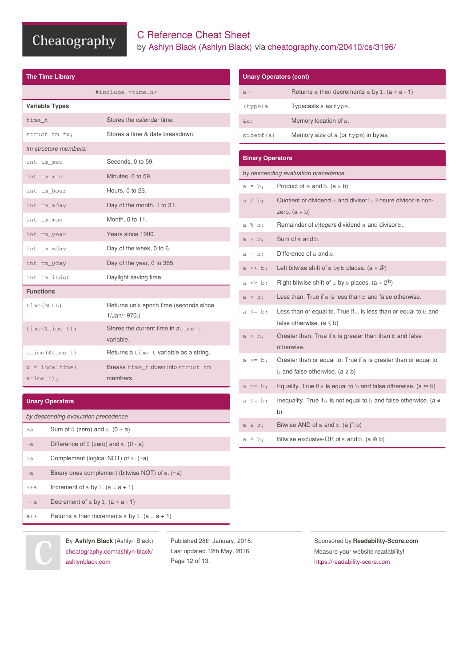## C Reference Cheat Sheet by Ashlyn Black [\(Ashlyn](http://www.cheatography.com/ashlyn-black/) Black) via [cheatography.com/20410/cs/3196/](http://www.cheatography.com/ashlyn-black/cheat-sheets/c-reference)

| <b>The Time Library</b>             |                                                       |
|-------------------------------------|-------------------------------------------------------|
|                                     | #include <time.h></time.h>                            |
| <b>Variable Types</b>               |                                                       |
| time t                              | Stores the calendar time.                             |
| struct tm *x:                       | Stores a time & date breakdown.                       |
| tm structure members:               |                                                       |
| int tm sec                          | Seconds, 0 to 59.                                     |
| int tm min                          | Minutes, 0 to 59.                                     |
| int tm hour                         | Hours, 0 to 23.                                       |
| int tm mday                         | Day of the month, 1 to 31.                            |
| int tm mon                          | Month, 0 to 11.                                       |
| int tm year                         | Years since 1900.                                     |
| int tm_wday                         | Day of the week, 0 to 6.                              |
| int tm_yday                         | Day of the year, 0 to 365.                            |
| int tm_isdst                        | Daylight saving time.                                 |
| <b>Functions</b>                    |                                                       |
| time (NULL)                         | Returns unix epoch time (seconds since<br>1/Jan/1970. |
| $time($ &time_t $);$                | Stores the current time in atime_t<br>variable.       |
| $ctime(\& time_t)$                  | Returns a time_t variable as a string.                |
| $x = 1$ ocaltime (<br>$\&time_t)$ ; | Breaks time t down into struct tm<br>members.         |

| <b>Unary Operators</b> |  |
|------------------------|--|
|------------------------|--|

|           | by descending evaluation precedence                       |
|-----------|-----------------------------------------------------------|
| $+A$      | Sum of 0 (zero) and a. $(0 + a)$                          |
| $-a$      | Difference of $0$ (zero) and a. $(0 - a)$                 |
| ! a       | Complement (logical NOT) of $a.$ ( $\sim a$ )             |
| $~\sim$ a | Binary ones complement (bitwise NOT) of $a.$ ( $\sim a$ ) |
| $+ + a$   | Increment of a by 1. $(a = a + 1)$                        |
| $- - a$   | Decrement of a by 1. $(a = a - 1)$                        |
| $a++$     | Returns a then increments a by 1. $(a = a + 1)$           |

|                         | <b>Unary Operators (cont)</b>                                                                              |
|-------------------------|------------------------------------------------------------------------------------------------------------|
| $a - -$                 | Returns a then decrements a by 1. $(a = a - 1)$                                                            |
| (type)a                 | Typecasts a as type.                                                                                       |
| $\&a$                   | Memory location of a.                                                                                      |
| sizeof (a)              | Memory size of a (or type) in bytes.                                                                       |
|                         |                                                                                                            |
| <b>Binary Operators</b> |                                                                                                            |
|                         | by descending evaluation precedence                                                                        |
| $a * b;$                | Product of a and b. $(a \times b)$                                                                         |
| a / b;                  | Quotient of dividend a and divisor b. Ensure divisor is non-<br>zero. $(a \div b)$                         |
| a % b;                  | Remainder of <i>integers</i> dividend a and divisor b.                                                     |
| $a + b$ ;               | Sum of a and b.                                                                                            |
| a - b;                  | Difference of a and b.                                                                                     |
| $a \ll b$ ;             | Left bitwise shift of a by b places. $(a \times 2^b)$                                                      |
| $a \gg b$ ;             | Right bitwise shift of a by b places. $(a \times 2^b)$                                                     |
| a < b;                  | Less than. True if a is less than b and false otherwise.                                                   |
| $a \leq b$ ;            | Less than or equal to. True if a is less than or equal to $\mathbf b$ and<br>false otherwise. $(a \leq b)$ |
| $a > b$ ;               | Greater than. True if a is greater than than b and false<br>otherwise.                                     |
| $a \geq b$ ;            | Greater than or equal to. True if a is greater than or equal to<br>b and false otherwise. $(a \ge b)$      |
| $a == b;$               | Equality. True if a is equal to b and false otherwise. (a $\Leftrightarrow$ b)                             |
| a != $b$ ;              | Inequality. True if a is not equal to b and false otherwise. (a $\neq$<br>b)                               |
| a & b;                  | Bitwise AND of a and b. $(a \cap b)$                                                                       |
| $a \wedge b$            | Bitwise exclusive-OR of a and b. (a $\oplus$ b)                                                            |

By **Ashlyn Black** (Ashlyn Black) [cheatography.com/ashlyn-black/](http://www.cheatography.com/ashlyn-black/) [ashlynblack.com](http://ashlynblack.com)

Published 28th January, 2015. Last updated 12th May, 2016. Page 12 of 13.